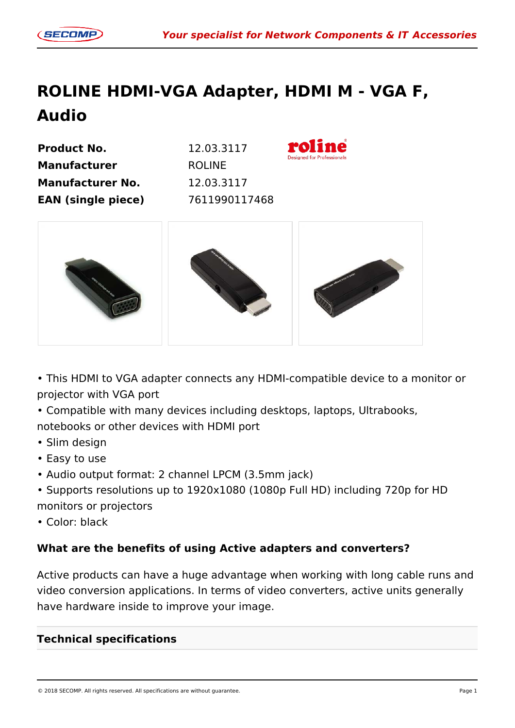## **ROLINE HDMI-VGA Adapter, HDMI M - VGA F, Audio**

**Product No.** 12.03.3117 **Manufacturer** ROLINE **Manufacturer No.** 12.03.3117 **EAN (single piece)** 7611990117468





• This HDMI to VGA adapter connects any HDMI-compatible device to a monitor or projector with VGA port

• Compatible with many devices including desktops, laptops, Ultrabooks,

notebooks or other devices with HDMI port

- Slim design
- Easy to use
- Audio output format: 2 channel LPCM (3.5mm jack)
- Supports resolutions up to 1920x1080 (1080p Full HD) including 720p for HD monitors or projectors
- Color: black

## **What are the benefits of using Active adapters and converters?**

Active products can have a huge advantage when working with long cable runs and video conversion applications. In terms of video converters, active units generally have hardware inside to improve your image.

## **Technical specifications**

© 2018 SECOMP. All rights reserved. All specifications are without guarantee. Page 1